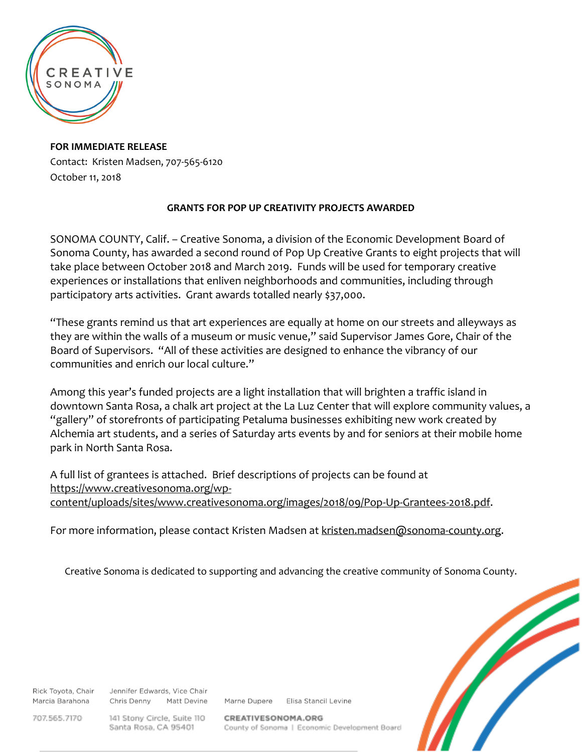

**FOR IMMEDIATE RELEASE** Contact: Kristen Madsen, 707-565-6120 October 11, 2018

## **GRANTS FOR POP UP CREATIVITY PROJECTS AWARDED**

SONOMA COUNTY, Calif. – Creative Sonoma, a division of the Economic Development Board of Sonoma County, has awarded a second round of Pop Up Creative Grants to eight projects that will take place between October 2018 and March 2019. Funds will be used for temporary creative experiences or installations that enliven neighborhoods and communities, including through participatory arts activities. Grant awards totalled nearly \$37,000.

"These grants remind us that art experiences are equally at home on our streets and alleyways as they are within the walls of a museum or music venue," said Supervisor James Gore, Chair of the Board of Supervisors. "All of these activities are designed to enhance the vibrancy of our communities and enrich our local culture."

Among this year's funded projects are a light installation that will brighten a traffic island in downtown Santa Rosa, a chalk art project at the La Luz Center that will explore community values, a "gallery" of storefronts of participating Petaluma businesses exhibiting new work created by Alchemia art students, and a series of Saturday arts events by and for seniors at their mobile home park in North Santa Rosa.

A full list of grantees is attached. Brief descriptions of projects can be found at [https://www.creativesonoma.org/wp](https://www.creativesonoma.org/wp-content/uploads/sites/www.creativesonoma.org/images/2018/09/Pop-Up-Grantees-2018.pdf)[content/uploads/sites/www.creativesonoma.org/images/2018/09/Pop-Up-Grantees-2018.pdf.](https://www.creativesonoma.org/wp-content/uploads/sites/www.creativesonoma.org/images/2018/09/Pop-Up-Grantees-2018.pdf)

For more information, please contact Kristen Madsen at [kristen.madsen@sonoma-county.org.](mailto:kristen.madsen@sonoma-county.org)

Creative Sonoma is dedicated to supporting and advancing the creative community of Sonoma County.

Rick Toyota, Chair Marcia Barahona

Jennifer Edwards, Vice Chair Chris Denny Matt Devine

Marne Dupere Elisa Stancil Levine

707.565.7170

141 Stony Circle, Suite 110 Santa Rosa, CA 95401

CREATIVESONOMA.ORG County of Sonoma | Economic Development Board